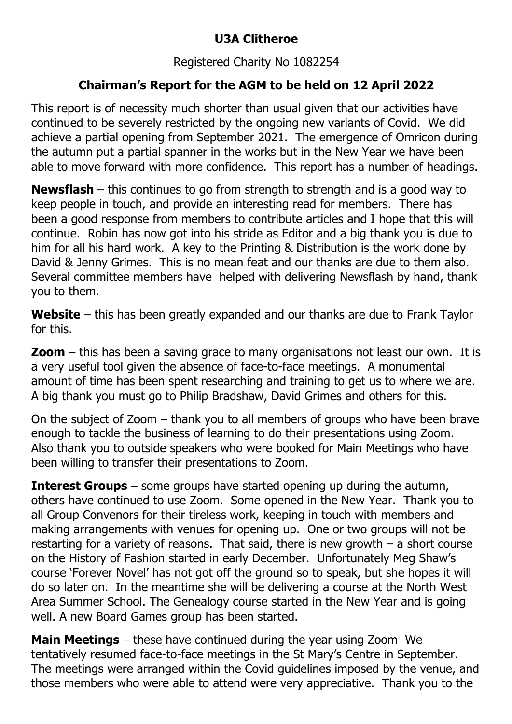## **U3A Clitheroe**

## Registered Charity No 1082254

## **Chairman's Report for the AGM to be held on 12 April 2022**

This report is of necessity much shorter than usual given that our activities have continued to be severely restricted by the ongoing new variants of Covid. We did achieve a partial opening from September 2021. The emergence of Omricon during the autumn put a partial spanner in the works but in the New Year we have been able to move forward with more confidence. This report has a number of headings.

**Newsflash** – this continues to go from strength to strength and is a good way to keep people in touch, and provide an interesting read for members. There has been a good response from members to contribute articles and I hope that this will continue. Robin has now got into his stride as Editor and a big thank you is due to him for all his hard work. A key to the Printing & Distribution is the work done by David & Jenny Grimes. This is no mean feat and our thanks are due to them also. Several committee members have helped with delivering Newsflash by hand, thank you to them.

**Website** – this has been greatly expanded and our thanks are due to Frank Taylor for this.

**Zoom** – this has been a saving grace to many organisations not least our own. It is a very useful tool given the absence of face-to-face meetings. A monumental amount of time has been spent researching and training to get us to where we are. A big thank you must go to Philip Bradshaw, David Grimes and others for this.

On the subject of Zoom – thank you to all members of groups who have been brave enough to tackle the business of learning to do their presentations using Zoom. Also thank you to outside speakers who were booked for Main Meetings who have been willing to transfer their presentations to Zoom.

**Interest Groups** – some groups have started opening up during the autumn, others have continued to use Zoom. Some opened in the New Year. Thank you to all Group Convenors for their tireless work, keeping in touch with members and making arrangements with venues for opening up. One or two groups will not be restarting for a variety of reasons. That said, there is new growth  $-$  a short course on the History of Fashion started in early December. Unfortunately Meg Shaw's course 'Forever Novel' has not got off the ground so to speak, but she hopes it will do so later on. In the meantime she will be delivering a course at the North West Area Summer School. The Genealogy course started in the New Year and is going well. A new Board Games group has been started.

**Main Meetings** – these have continued during the year using Zoom We tentatively resumed face-to-face meetings in the St Mary's Centre in September. The meetings were arranged within the Covid guidelines imposed by the venue, and those members who were able to attend were very appreciative. Thank you to the